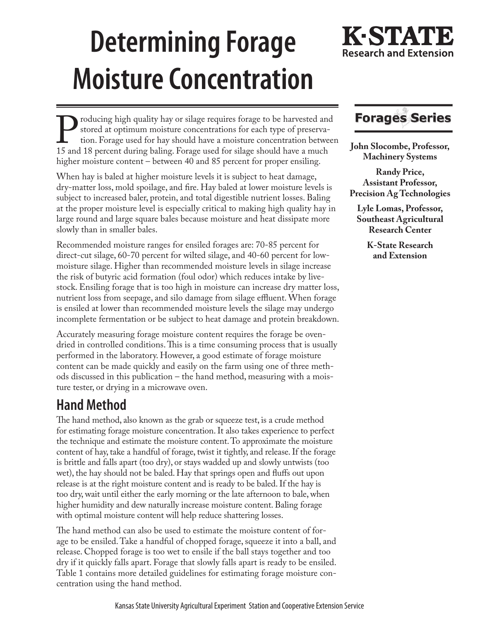# **Determining Forage Moisture Concentration**

# K-STA **Research and Extension**

**Producing high quality hay or silage requires forage to be harvested and stored at optimum moisture concentrations for each type of preservation.** Forage used for hay should have a moisture concentration between 15 and 18 stored at optimum moisture concentrations for each type of preservation. Forage used for hay should have a moisture concentration between higher moisture content – between 40 and 85 percent for proper ensiling.

When hay is baled at higher moisture levels it is subject to heat damage, dry-matter loss, mold spoilage, and fire. Hay baled at lower moisture levels is subject to increased baler, protein, and total digestible nutrient losses. Baling at the proper moisture level is especially critical to making high quality hay in large round and large square bales because moisture and heat dissipate more slowly than in smaller bales.

Recommended moisture ranges for ensiled forages are: 70-85 percent for direct-cut silage, 60-70 percent for wilted silage, and 40-60 percent for lowmoisture silage. Higher than recommended moisture levels in silage increase the risk of butyric acid formation (foul odor) which reduces intake by livestock. Ensiling forage that is too high in moisture can increase dry matter loss, nutrient loss from seepage, and silo damage from silage effluent. When forage is ensiled at lower than recommended moisture levels the silage may undergo incomplete fermentation or be subject to heat damage and protein breakdown.

Accurately measuring forage moisture content requires the forage be ovendried in controlled conditions. This is a time consuming process that is usually performed in the laboratory. However, a good estimate of forage moisture content can be made quickly and easily on the farm using one of three methods discussed in this publication – the hand method, measuring with a moisture tester, or drying in a microwave oven.

### **Hand Method**

The hand method, also known as the grab or squeeze test, is a crude method for estimating forage moisture concentration. It also takes experience to perfect the technique and estimate the moisture content. To approximate the moisture content of hay, take a handful of forage, twist it tightly, and release. If the forage is brittle and falls apart (too dry), or stays wadded up and slowly untwists (too wet), the hay should not be baled. Hay that springs open and fluffs out upon release is at the right moisture content and is ready to be baled. If the hay is too dry, wait until either the early morning or the late afternoon to bale, when higher humidity and dew naturally increase moisture content. Baling forage with optimal moisture content will help reduce shattering losses.

The hand method can also be used to estimate the moisture content of forage to be ensiled. Take a handful of chopped forage, squeeze it into a ball, and release. Chopped forage is too wet to ensile if the ball stays together and too dry if it quickly falls apart. Forage that slowly falls apart is ready to be ensiled. Table 1 contains more detailed guidelines for estimating forage moisture concentration using the hand method.

# **Forages Series**

**John Slocombe, Professor, Machinery Systems** 

**Randy Price, Assistant Professor, Precision Ag Technologies**

**Lyle Lomas, Professor, Southeast Agricultural Research Center**

> **K-State Research and Extension**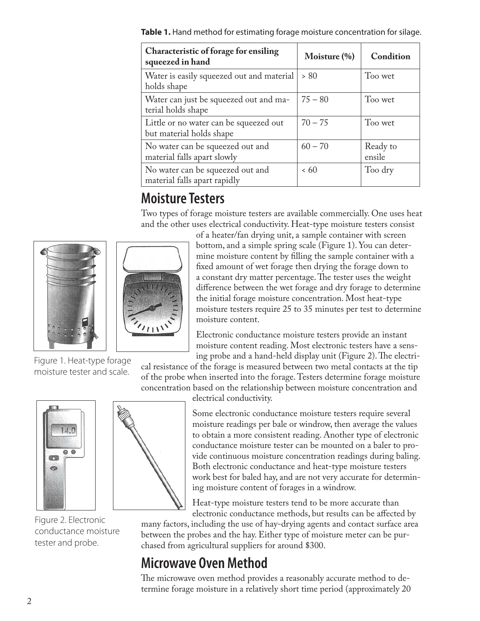**Table 1.** Hand method for estimating forage moisture concentration for silage.

| Characteristic of forage for ensiling<br>squeezed in hand          | Moisture $(\% )$ | Condition          |
|--------------------------------------------------------------------|------------------|--------------------|
| Water is easily squeezed out and material<br>holds shape           | > 80             | Too wet            |
| Water can just be squeezed out and ma-<br>terial holds shape       | $75 - 80$        | Too wet            |
| Little or no water can be squeezed out<br>but material holds shape | $70 - 75$        | Too wet            |
| No water can be squeezed out and<br>material falls apart slowly    | $60 - 70$        | Ready to<br>ensile |
| No water can be squeezed out and<br>material falls apart rapidly   | <60              | Too dry            |

# **Moisture Testers**

Two types of forage moisture testers are available commercially. One uses heat and the other uses electrical conductivity. Heat-type moisture testers consist





Figure 1. Heat-type forage moisture tester and scale.

of a heater/fan drying unit, a sample container with screen bottom, and a simple spring scale (Figure 1). You can determine moisture content by filling the sample container with a fixed amount of wet forage then drying the forage down to a constant dry matter percentage. The tester uses the weight difference between the wet forage and dry forage to determine the initial forage moisture concentration. Most heat-type moisture testers require 25 to 35 minutes per test to determine moisture content.

Electronic conductance moisture testers provide an instant moisture content reading. Most electronic testers have a sensing probe and a hand-held display unit (Figure 2). The electri-

cal resistance of the forage is measured between two metal contacts at the tip of the probe when inserted into the forage. Testers determine forage moisture concentration based on the relationship between moisture concentration and

electrical conductivity.

Some electronic conductance moisture testers require several moisture readings per bale or windrow, then average the values to obtain a more consistent reading. Another type of electronic conductance moisture tester can be mounted on a baler to provide continuous moisture concentration readings during baling. Both electronic conductance and heat-type moisture testers work best for baled hay, and are not very accurate for determining moisture content of forages in a windrow.

Heat-type moisture testers tend to be more accurate than electronic conductance methods, but results can be affected by

many factors, including the use of hay-drying agents and contact surface area between the probes and the hay. Either type of moisture meter can be purchased from agricultural suppliers for around \$300.

## **Microwave Oven Method**

The microwave oven method provides a reasonably accurate method to determine forage moisture in a relatively short time period (approximately 20



Figure 2. Electronic conductance moisture tester and probe.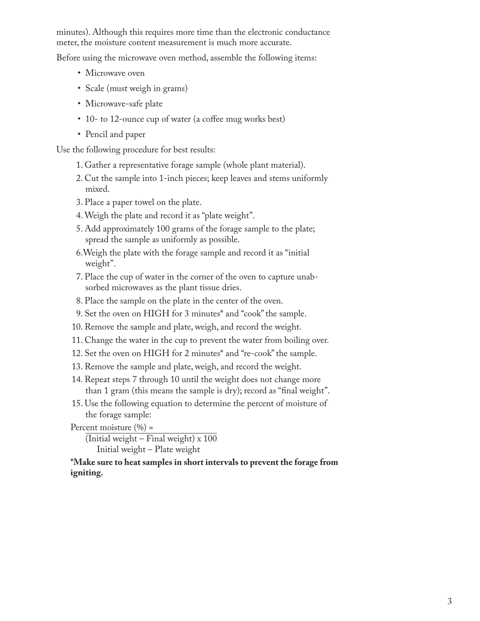minutes). Although this requires more time than the electronic conductance meter, the moisture content measurement is much more accurate.

Before using the microwave oven method, assemble the following items:

- Microwave oven
- Scale (must weigh in grams)
- Microwave-safe plate
- 10- to 12-ounce cup of water (a coffee mug works best)
- Pencil and paper

Use the following procedure for best results:

- 1. Gather a representative forage sample (whole plant material).
- 2. Cut the sample into 1-inch pieces; keep leaves and stems uniformly mixed.
- 3. Place a paper towel on the plate.
- 4. Weigh the plate and record it as "plate weight".
- 5. Add approximately 100 grams of the forage sample to the plate; spread the sample as uniformly as possible.
- 6.Weigh the plate with the forage sample and record it as "initial weight".
- 7. Place the cup of water in the corner of the oven to capture unabsorbed microwaves as the plant tissue dries.
- 8. Place the sample on the plate in the center of the oven.
- 9. Set the oven on HIGH for 3 minutes\* and "cook" the sample.
- 10. Remove the sample and plate, weigh, and record the weight.
- 11. Change the water in the cup to prevent the water from boiling over.
- 12. Set the oven on HIGH for 2 minutes\* and "re-cook" the sample.
- 13. Remove the sample and plate, weigh, and record the weight.
- 14. Repeat steps 7 through 10 until the weight does not change more than 1 gram (this means the sample is dry); record as "final weight".
- 15. Use the following equation to determine the percent of moisture of the forage sample:

Percent moisture  $(\% )$  =

 $\overline{\text{(Initial weight - Final weight)} \times 100}$ Initial weight – Plate weight

#### **\*Make sure to heat samples in short intervals to prevent the forage from igniting.**